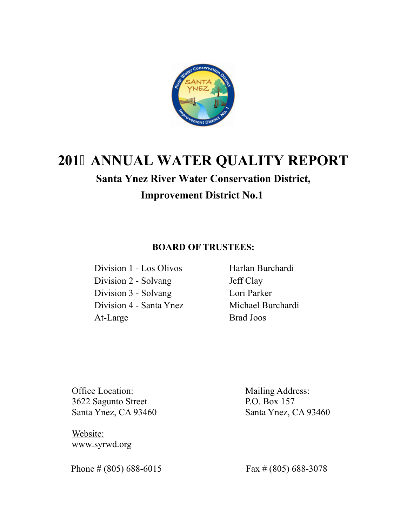

# **201 ANNUAL WATER QUALITY REPORT**

# **Santa Ynez River Water Conservation District, Improvement District No.1**

# **BOARD OF TRUSTEES:**

 Division 1 - Los Olivos Harlan Burchardi Division 2 - Solvang Jeff Clay Division 3 - Solvang Lori Parker Division 4 - Santa Ynez Michael Burchardi At-Large Brad Joos

Office Location: Mailing Address: 3622 Sagunto Street P.O. Box 157 Santa Ynez, CA 93460 Santa Ynez, CA 93460

 Website: www.syrwd.org

Phone # (805) 688-6015 Fax # (805) 688-3078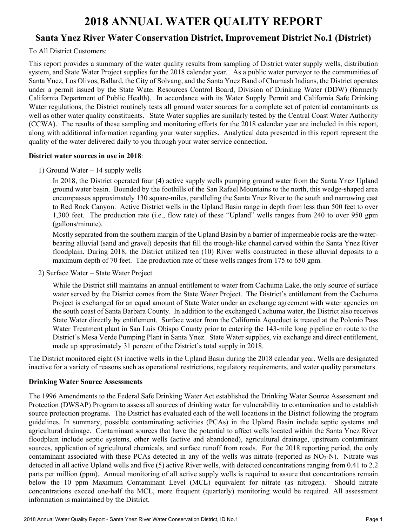# **2018 ANNUAL WATER QUALITY REPORT**

# **Santa Ynez River Water Conservation District, Improvement District No.1 (District)**

# To All District Customers:

This report provides a summary of the water quality results from sampling of District water supply wells, distribution system, and State Water Project supplies for the 2018 calendar year. As a public water purveyor to the communities of Santa Ynez, Los Olivos, Ballard, the City of Solvang, and the Santa Ynez Band of Chumash Indians, the District operates under a permit issued by the State Water Resources Control Board, Division of Drinking Water (DDW) (formerly California Department of Public Health). In accordance with its Water Supply Permit and California Safe Drinking Water regulations, the District routinely tests all ground water sources for a complete set of potential contaminants as well as other water quality constituents. State Water supplies are similarly tested by the Central Coast Water Authority (CCWA). The results of these sampling and monitoring efforts for the 2018 calendar year are included in this report, along with additional information regarding your water supplies. Analytical data presented in this report represent the quality of the water delivered daily to you through your water service connection.

# **District water sources in use in 2018**:

1) Ground Water – 14 supply wells

In 2018, the District operated four (4) active supply wells pumping ground water from the Santa Ynez Upland ground water basin. Bounded by the foothills of the San Rafael Mountains to the north, this wedge-shaped area encompasses approximately 130 square-miles, paralleling the Santa Ynez River to the south and narrowing east to Red Rock Canyon. Active District wells in the Upland Basin range in depth from less than 500 feet to over 1,300 feet. The production rate (i.e., flow rate) of these "Upland" wells ranges from 240 to over 950 gpm (gallons/minute).

Mostly separated from the southern margin of the Upland Basin by a barrier of impermeable rocks are the waterbearing alluvial (sand and gravel) deposits that fill the trough-like channel carved within the Santa Ynez River floodplain. During 2018, the District utilized ten (10) River wells constructed in these alluvial deposits to a maximum depth of 70 feet. The production rate of these wells ranges from 175 to 650 gpm.

2) Surface Water – State Water Project

While the District still maintains an annual entitlement to water from Cachuma Lake, the only source of surface water served by the District comes from the State Water Project. The District's entitlement from the Cachuma Project is exchanged for an equal amount of State Water under an exchange agreement with water agencies on the south coast of Santa Barbara County. In addition to the exchanged Cachuma water, the District also receives State Water directly by entitlement. Surface water from the California Aqueduct is treated at the Polonio Pass Water Treatment plant in San Luis Obispo County prior to entering the 143-mile long pipeline en route to the District's Mesa Verde Pumping Plant in Santa Ynez. State Water supplies, via exchange and direct entitlement, made up approximately 31 percent of the District's total supply in 2018.

The District monitored eight (8) inactive wells in the Upland Basin during the 2018 calendar year. Wells are designated inactive for a variety of reasons such as operational restrictions, regulatory requirements, and water quality parameters.

# **Drinking Water Source Assessments**

The 1996 Amendments to the Federal Safe Drinking Water Act established the Drinking Water Source Assessment and Protection (DWSAP) Program to assess all sources of drinking water for vulnerability to contamination and to establish source protection programs. The District has evaluated each of the well locations in the District following the program guidelines. In summary, possible contaminating activities (PCAs) in the Upland Basin include septic systems and agricultural drainage. Contaminant sources that have the potential to affect wells located within the Santa Ynez River floodplain include septic systems, other wells (active and abandoned), agricultural drainage, upstream contaminant sources, application of agricultural chemicals, and surface runoff from roads. For the 2018 reporting period, the only contaminant associated with these PCAs detected in any of the wells was nitrate (reported as NO<sub>3</sub>-N). Nitrate was detected in all active Upland wells and five (5) active River wells, with detected concentrations ranging from 0.41 to 2.2 parts per million (ppm). Annual monitoring of all active supply wells is required to assure that concentrations remain below the 10 ppm Maximum Contaminant Level (MCL) equivalent for nitrate (as nitrogen). Should nitrate concentrations exceed one-half the MCL, more frequent (quarterly) monitoring would be required. All assessment information is maintained by the District.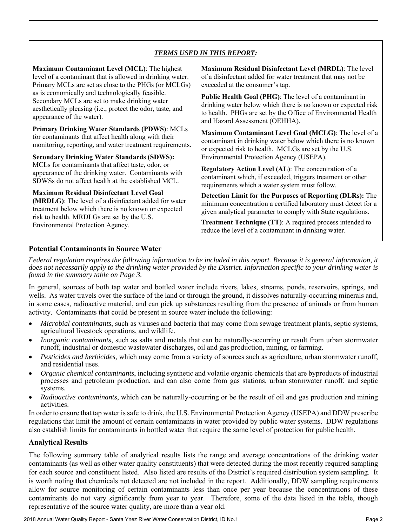# *TERMS USED IN THIS REPORT:*

**Maximum Contaminant Level (MCL)**: The highest level of a contaminant that is allowed in drinking water. Primary MCLs are set as close to the PHGs (or MCLGs) as is economically and technologically feasible. Secondary MCLs are set to make drinking water aesthetically pleasing (i.e., protect the odor, taste, and appearance of the water).

l

**Primary Drinking Water Standards (PDWS)**: MCLs for contaminants that affect health along with their monitoring, reporting, and water treatment requirements.

**Secondary Drinking Water Standards (SDWS):**  MCLs for contaminants that affect taste, odor, or appearance of the drinking water. Contaminants with SDWSs do not affect health at the established MCL.

**Maximum Residual Disinfectant Level Goal (MRDLG)**: The level of a disinfectant added for water treatment below which there is no known or expected risk to health. MRDLGs are set by the U.S. Environmental Protection Agency.

**Maximum Residual Disinfectant Level (MRDL)**: The level of a disinfectant added for water treatment that may not be exceeded at the consumer's tap.

**Public Health Goal (PHG)**: The level of a contaminant in drinking water below which there is no known or expected risk to health. PHGs are set by the Office of Environmental Health and Hazard Assessment (OEHHA).

**Maximum Contaminant Level Goal (MCLG)**: The level of a contaminant in drinking water below which there is no known or expected risk to health. MCLGs are set by the U.S. Environmental Protection Agency (USEPA).

**Regulatory Action Level (AL)**: The concentration of a contaminant which, if exceeded, triggers treatment or other requirements which a water system must follow.

**Detection Limit for the Purposes of Reporting (DLRs):** The minimum concentration a certified laboratory must detect for a given analytical parameter to comply with State regulations.

**Treatment Technique (TT)**: A required process intended to reduce the level of a contaminant in drinking water.

# **Potential Contaminants in Source Water**

*Federal regulation requires the following information to be included in this report. Because it is general information, it does not necessarily apply to the drinking water provided by the District. Information specific to your drinking water is found in the summary table on Page 3.* 

In general, sources of both tap water and bottled water include rivers, lakes, streams, ponds, reservoirs, springs, and wells. As water travels over the surface of the land or through the ground, it dissolves naturally-occurring minerals and, in some cases, radioactive material, and can pick up substances resulting from the presence of animals or from human activity. Contaminants that could be present in source water include the following:

- *Microbial contaminants*, such as viruses and bacteria that may come from sewage treatment plants, septic systems, agricultural livestock operations, and wildlife.
- *Inorganic contaminants*, such as salts and metals that can be naturally-occurring or result from urban stormwater runoff, industrial or domestic wastewater discharges, oil and gas production, mining, or farming.
- *Pesticides and herbicides*, which may come from a variety of sources such as agriculture, urban stormwater runoff, and residential uses.
- *Organic chemical contaminants*, including synthetic and volatile organic chemicals that are byproducts of industrial processes and petroleum production, and can also come from gas stations, urban stormwater runoff, and septic systems.
- *Radioactive contaminants*, which can be naturally-occurring or be the result of oil and gas production and mining activities.

In order to ensure that tap water is safe to drink, the U.S. Environmental Protection Agency (USEPA) and DDW prescribe regulations that limit the amount of certain contaminants in water provided by public water systems. DDW regulations also establish limits for contaminants in bottled water that require the same level of protection for public health.

# **Analytical Results**

The following summary table of analytical results lists the range and average concentrations of the drinking water contaminants (as well as other water quality constituents) that were detected during the most recently required sampling for each source and constituent listed. Also listed are results of the District's required distribution system sampling. It is worth noting that chemicals not detected are not included in the report. Additionally, DDW sampling requirements allow for source monitoring of certain contaminants less than once per year because the concentrations of these contaminants do not vary significantly from year to year. Therefore, some of the data listed in the table, though representative of the source water quality, are more than a year old.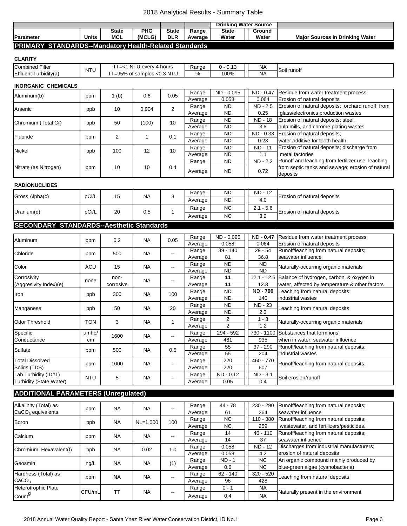## 2018 Analytical Results - Summary Table

|                                                                |              |              |            |              |         | <b>Drinking Water Source</b> |        |                                        |  |  |  |
|----------------------------------------------------------------|--------------|--------------|------------|--------------|---------|------------------------------|--------|----------------------------------------|--|--|--|
|                                                                |              | <b>State</b> | <b>PHG</b> | <b>State</b> | Range   | State                        | Ground |                                        |  |  |  |
| Parameter                                                      | <b>Units</b> | <b>MCL</b>   | (MCLG)     | DLR          | Average | Water                        | Water  | <b>Major Sources in Drinking Water</b> |  |  |  |
| <b>DRIMARY</b><br>STANDARDS-Mandatory Health-Related Standards |              |              |            |              |         |                              |        |                                        |  |  |  |

#### **PRIMARY STANDARDS--Mandatory Health-Related Standards**

| <b>CLARITY</b>         |            |                                       |       |          |           |             |  |
|------------------------|------------|---------------------------------------|-------|----------|-----------|-------------|--|
| <b>Combined Filter</b> | <b>NTU</b> | I NTU<br>U everv 4 hours<br>$1 = < 1$ | Range | 0 - 0.13 | <b>NA</b> | Soil runoff |  |
| Effluent Turbidity(a)  |            | T=95% of samples <0.3 NTU             | %     | 100%     | <b>NA</b> |             |  |

#### **INORGANIC CHEMICALS**

| Aluminum(b)           | ppm | (b) | 0.6   | 0.05 | Range   | ND - 0.095 | ND - 0.47      | Residue from water treatment process;             |
|-----------------------|-----|-----|-------|------|---------|------------|----------------|---------------------------------------------------|
|                       |     |     |       |      | Average | 0.058      | 0.064          | Erosion of natural deposits                       |
| Arsenic               | ppb | 10  | 0.004 |      | Range   | ND.        | ND - 2.5       | Erosion of natural deposits; orchard runoff; from |
|                       |     |     |       |      | Average | <b>ND</b>  | 0.25           | glass/electronics production wastes               |
| Chromium (Total Cr)   | ppb | 50  | (100) | 10   | Range   | <b>ND</b>  | ND - 18        | Erosion of natural deposits; steel,               |
|                       |     |     |       |      | Average | <b>ND</b>  | 3.8            | pulp mills, and chrome plating wastes             |
| Fluoride              | ppm | 2   |       | 0.1  | Range   | ND.        |                | ND - 0.33 Erosion of natural deposits;            |
|                       |     |     |       |      | Average | <b>ND</b>  | 0.23           | water additive for tooth health                   |
| <b>Nickel</b>         |     | 100 | 12    | 10   | Range   | <b>ND</b>  | <b>ND - 11</b> | Erosion of natural deposits; discharge from       |
|                       | ppb |     |       |      | Average | <b>ND</b>  | 1.1            | metal factories                                   |
| Nitrate (as Nitrogen) | ppm | 10  | 10    | 0.4  | Range   | <b>ND</b>  | ND - 2.2       | Runoff and leaching from fertilizer use; leaching |
|                       |     |     |       |      |         | <b>ND</b>  | 0.72           | from septic tanks and sewage; erosion of natural  |
|                       |     |     |       |      | Average |            |                | deposits                                          |

#### **RADIONUCLIDES**

|                | pCi/L | 15<br>20 | <b>NA</b><br>0.5 | ι. | Range   | ΝD        | ND -<br>$\Lambda$<br>. <u>.</u> |                             |  |
|----------------|-------|----------|------------------|----|---------|-----------|---------------------------------|-----------------------------|--|
| Gross Alpha(c) |       |          |                  |    | Average | ΝD        | 4.0                             | Erosion of natural deposits |  |
| Uranium(d)     | pCi/L |          |                  |    | Range   | NC        | $-5.6$<br>ີ່<br>$\sim$          | Erosion of natural deposits |  |
|                |       |          |                  |    | Average | <b>NC</b> | າາ<br>ے.ت                       |                             |  |

## **SECONDARY STANDARDS--Aesthetic Standards**

| Aluminum                |            | 0.2       | <b>NA</b> | 0.05                     | Range   | ND - 0.095     | ND - 0.47       | Residue from water treatment process;                |
|-------------------------|------------|-----------|-----------|--------------------------|---------|----------------|-----------------|------------------------------------------------------|
|                         | ppm        |           |           |                          | Average | 0.058          | 0.064           | Erosion of natural deposits                          |
| Chloride                |            | 500       | <b>NA</b> |                          | Range   | 39 - 140       | 29 - 54         | Runoff/leaching from natural deposits;               |
|                         | ppm        |           |           |                          | Average | 81             | 36.8            | seawater influence                                   |
| Color                   | <b>ACU</b> | 15        | <b>NA</b> | --                       | Range   | <b>ND</b>      | ND.             | Naturally-occurring organic materials                |
|                         |            |           |           |                          | Average | <b>ND</b>      | <b>ND</b>       |                                                      |
| Corrosivity             |            | non-      | <b>NA</b> |                          | Range   | 11             |                 | 12.1 - 12.5 Balance of hydrogen, carbon, & oxygen in |
| (Aggresivity Index)(e)  | none       | corrosive |           | $\overline{\phantom{a}}$ | Average | 11             | 12.3            | water, affected by temperature & other factors       |
|                         |            |           |           | 100                      | Range   | <b>ND</b>      | <b>ND - 790</b> | Leaching from natural deposits;                      |
| Iron                    | ppb        | 300       | <b>NA</b> |                          | Average | <b>ND</b>      | 140             | industrial wastes                                    |
|                         |            | 50        | <b>NA</b> | 20                       | Range   | <b>ND</b>      | <b>ND - 23</b>  |                                                      |
| Manganese               | ppb        |           |           |                          | Average | <b>ND</b>      | 2.3             | Leaching from natural deposits                       |
|                         |            | 3         | <b>NA</b> |                          | Range   | $\overline{2}$ | $1 - 3$         |                                                      |
| Odor Threshold          | TON        |           |           |                          | Average | $\overline{2}$ | 1.2             | Naturally-occurring organic materials                |
| Specific                | umho/      | 1600      |           |                          | Range   | 294 - 592      |                 | 730 - 1100 Substances that form ions                 |
| Conductance             | cm         |           | <b>NA</b> |                          | Average | 481            | 935             | when in water; seawater influence                    |
| Sulfate                 |            | 500       | <b>NA</b> | 0.5                      | Range   | 55             | $37 - 290$      | Runoff/leaching from natural deposits;               |
|                         | ppm        |           |           |                          | Average | 55             | 204             | industrial wastes                                    |
| <b>Total Dissolved</b>  |            |           |           |                          | Range   | 220            | 460 - 770       |                                                      |
| Solids (TDS)            | ppm        | 1000      | <b>NA</b> | --                       | Average | 220            | 607             | Runoff/leaching from natural deposits;               |
| Lab Turbidity (ID#1)    |            |           |           |                          | Range   | ND - 0.12      | ND - 3.1        |                                                      |
| Turbidity (State Water) | <b>NTU</b> | 5         | <b>NA</b> | --                       | Average | 0.05           | 0.4             | Soil erosion/runoff                                  |

# **ADDITIONAL PARAMETERS (Unregulated)**

| Alkalinity (Total) as      |        | <b>NA</b> | <b>NA</b>  |     | Range   | 44 - 78    | 230 - 290   | Runoff/leaching from natural deposits:    |
|----------------------------|--------|-----------|------------|-----|---------|------------|-------------|-------------------------------------------|
| $CaCO3$ equivalents        | ppm    |           |            |     | Average | 61         | 264         | seawater influence                        |
| Boron                      | ppb    | <b>NA</b> | $NL=1,000$ | 100 | Range   | NC.        | $110 - 380$ | Runoff/leaching from natural deposits;    |
|                            |        |           |            |     | Average | NC.        | 259         | wastewater, and fertilizers/pesticides.   |
| Calcium                    | ppm    | <b>NA</b> | <b>NA</b>  | --  | Range   | 14         | $46 - 110$  | Runoff/leaching from natural deposits;    |
|                            |        |           |            |     | Average | 14         | 37          | seawater influence                        |
| Chromium, Hexavalent(f)    | ppb    | <b>NA</b> | 0.02       | 1.0 | Range   | 0.058      | ND - 12     | Discharges from industrial manufacturers; |
|                            |        |           |            |     | Average | 0.058      | 4.2         | erosion of natural deposits               |
| Geosmin                    | ng/L   | <b>NA</b> | <b>NA</b>  | (1) | Range   | $ND - 1$   | NC.         | An organic compound mainly produced by    |
|                            |        |           |            |     | Average | 0.6        | NC.         | blue-green algae (cyanobacteria)          |
| Hardness (Total) as        |        | <b>NA</b> | <b>NA</b>  | --  | Range   | $62 - 140$ | $320 - 520$ | Leaching from natural deposits            |
| CaCO <sub>3</sub>          | ppm    |           |            |     | Average | 96         | 428         |                                           |
| <b>Heterotrophic Plate</b> |        |           |            |     | Range   | $0 - 1$    | <b>NA</b>   |                                           |
| Count <sup>9</sup>         | CFU/mL | <b>TT</b> | <b>NA</b>  | --  | Average | 0.4        | <b>NA</b>   | Naturally present in the environment      |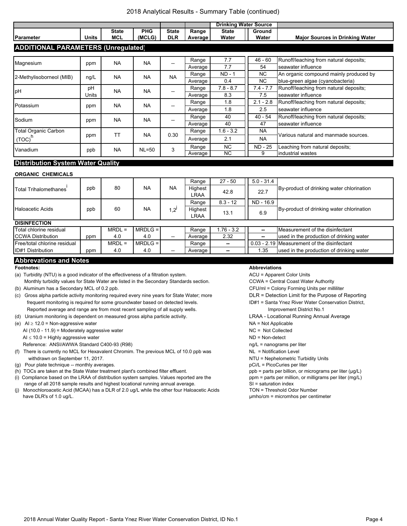#### 2018 Analytical Results - Summary Table (continued)

|                                            |             |                            | <b>Drinking Water Source</b> |                            |                  |                       |                        |                                                                            |
|--------------------------------------------|-------------|----------------------------|------------------------------|----------------------------|------------------|-----------------------|------------------------|----------------------------------------------------------------------------|
| Parameter                                  | Units       | <b>State</b><br><b>MCL</b> | <b>PHG</b><br>(MCLG)         | <b>State</b><br><b>DLR</b> | Range<br>Average | <b>State</b><br>Water | Ground<br>Water        | <b>Major Sources in Drinking Water</b>                                     |
| <b>ADDITIONAL PARAMETERS (Unregulated)</b> |             |                            |                              |                            |                  |                       |                        |                                                                            |
| Magnesium                                  | ppm         | <b>NA</b>                  | <b>NA</b>                    |                            | Range<br>Average | 7.7<br>7.7            | $46 - 60$<br>54        | Runoff/leaching from natural deposits;<br>seawater influence               |
| 2-Methylisoborneol (MIB)                   | ng/L        | <b>NA</b>                  | <b>NA</b>                    | <b>NA</b>                  | Range<br>Average | $ND - 1$<br>0.4       | NC.<br><b>NC</b>       | An organic compound mainly produced by<br>blue-green algae (cyanobacteria) |
| pH                                         | рH<br>Units | <b>NA</b>                  | <b>NA</b>                    | --                         | Range<br>Average | $7.8 - 8.7$<br>8.3    | $7.4 - 7.7$<br>7.5     | Runoff/leaching from natural deposits;<br>seawater influence               |
| Potassium                                  | ppm         | <b>NA</b>                  | <b>NA</b>                    |                            | Range<br>Average | 1.8<br>1.8            | $2.1 - 2.8$<br>2.5     | Runoff/leaching from natural deposits;<br>seawater influence               |
| Sodium                                     | ppm         | <b>NA</b>                  | <b>NA</b>                    |                            | Range<br>Average | 40<br>40              | $40 - 54$<br>47        | Runoff/leaching from natural deposits;<br>seawater influence               |
| <b>Total Organic Carbon</b><br>$(TOC)^{'}$ | ppm         | <b>TT</b>                  | <b>NA</b>                    | 0.30                       | Range<br>Average | $1.6 - 3.2$<br>2.1    | <b>NA</b><br><b>NA</b> | Various natural and manmade sources.                                       |
| Vanadium<br><b>International Action</b>    | ppb         | <b>NA</b>                  | $NL = 50$                    | 3                          | Range<br>Average | NC.<br><b>NC</b>      | <b>ND - 25</b><br>9    | Leaching from natural deposits;<br>industrial wastes                       |

## **Distribution System Water Quality**

#### **ORGANIC CHEMICALS**

|     | 80       | NA  | <b>NA</b>                | Range                  | $27 - 50$                | $5.0 - 31.4$                                |                                           |  |
|-----|----------|-----|--------------------------|------------------------|--------------------------|---------------------------------------------|-------------------------------------------|--|
| ppb |          |     |                          | Highest                | 42.8                     |                                             | By-product of drinking water chlorination |  |
|     |          |     |                          | <b>LRAA</b>            |                          |                                             |                                           |  |
|     |          |     |                          | Range                  | $8.3 - 12$               | ND - 16.9                                   |                                           |  |
| ppb | 60       | NA  | $1.2^{1}$                | Highest<br><b>LRAA</b> | 13.1                     | 6.9                                         | By-product of drinking water chlorination |  |
|     |          |     |                          |                        |                          |                                             |                                           |  |
|     | $MRDL =$ |     |                          | Range                  | $.76 - 3.2$              | --                                          | Measurement of the disinfectant           |  |
| ppm | 4.0      | 4.0 | $\overline{\phantom{a}}$ | Average                | 2.32                     | $\overline{\phantom{a}}$                    | used in the production of drinking water  |  |
|     | $MRDL =$ |     |                          | Range                  | $\overline{\phantom{a}}$ | 0.03 - 2.19 Measurement of the disinfectant |                                           |  |
| ppm | 4.0      | 4.0 | $\overline{\phantom{a}}$ | Average                | --                       | 1.35                                        | used in the production of drinking water  |  |
|     |          |     | $MRDLG =$<br>$MRDLG =$   |                        |                          |                                             | 22.7                                      |  |

#### **Abbrevations and Notes**

- (a) Turbidity (NTU) is a good indicator of the effectiveness of a filtration system. ACU = Apparent Color Units
- Monthly turbidity values for State Water are listed in the Secondary Standards section. CCWA = Central Coast Water Authority (b) Aluminum has a Secondary MCL of 0.2 ppb. CFU/ml = Colony Forming Units per milliliter
- (c) Gross alpha particle activity monitoring required every nine years for State Water; more DLR = Detection Limit for the Purpose of Reporting frequent monitoring is required for some groundwater based on detected levels. ID#1 = Santa Ynez River Water Conservation District,
- Reported average and range are from most recent sampling of all supply wells. **Improvement District No.1** (d) Uranium monitoring is dependent on measured gross alpha particle activity. LRAA - Locational Running Annual Average
- (e) AI ≥ 12.0 = Non-aggressive water NA = Not Applicable
	- AI (10.0 11.9) = Moderately aggressive water NC = Not Collected NC = Not Collected
	- $AI \le 10.0 =$  Highly aggressive water  $ND =$  Non-detect
	- Reference: ANSI/AWWA Standard C400-93 (R98) ng/L = nanograms per liter
- (f) There is currently no MCL for Hexavalent Chromim. The previous MCL of 10.0 ppb was NL = Notification Level withdrawn on September 11, 2017. NTU = Nephelometric Turbidity Units
- (g) Pour plate technique -- monthly averages. pci/L = PicoCuries per liter set in the pCi/L = PicoCuries per liter
- (h) TOCs are taken at the State Water treatment plant's combined filter effluent. ppb = parts per billion, or micrograms per liter (µg/L)
- (i) Compliance based on the LRAA of distribution system samples. Values reported are the ppm = parts per million, or milligrams per liter (mg/L) range of all 2018 sample results and highest locational running annual average. SI = saturation index
- (j) Monochloroacetic Acid (MCAA) has a DLR of 2.0 ug/L while the other four Haloacetic Acids TON = Threshold Odor Number have DLR's of 1.0 ug/L. **We are absolute that the control of the control of the control of the control of the control of the control of the control of the control of the control of the control of the control of the control**

#### **Footnotes: Abbreviations**

- 
- 
- 
- -
- 
- 
- 
- 
- 
- 
- 
- 
- 
- 
- 
- 
-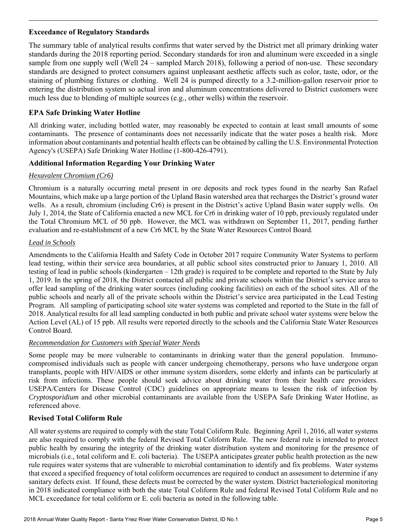# **Exceedance of Regulatory Standards**

l

The summary table of analytical results confirms that water served by the District met all primary drinking water standards during the 2018 reporting period. Secondary standards for iron and aluminum were exceeded in a single sample from one supply well (Well 24 – sampled March 2018), following a period of non-use. These secondary standards are designed to protect consumers against unpleasant aesthetic affects such as color, taste, odor, or the staining of plumbing fixtures or clothing. Well 24 is pumped directly to a 3.2-million-gallon reservoir prior to entering the distribution system so actual iron and aluminum concentrations delivered to District customers were much less due to blending of multiple sources (e.g., other wells) within the reservoir.

# **EPA Safe Drinking Water Hotline**

All drinking water, including bottled water, may reasonably be expected to contain at least small amounts of some contaminants. The presence of contaminants does not necessarily indicate that the water poses a health risk. More information about contaminants and potential health effects can be obtained by calling the U.S. Environmental Protection Agency's (USEPA) Safe Drinking Water Hotline (1-800-426-4791).

# **Additional Information Regarding Your Drinking Water**

# *Hexavalent Chromium (Cr6)*

Chromium is a naturally occurring metal present in ore deposits and rock types found in the nearby San Rafael Mountains, which make up a large portion of the Upland Basin watershed area that recharges the District's ground water wells. As a result, chromium (including Cr6) is present in the District's active Upland Basin water supply wells. On July 1, 2014, the State of California enacted a new MCL for Cr6 in drinking water of 10 ppb, previously regulated under the Total Chromium MCL of 50 ppb. However, the MCL was withdrawn on September 11, 2017, pending further evaluation and re-establishment of a new Cr6 MCL by the State Water Resources Control Board.

# *Lead in Schools*

Amendments to the California Health and Safety Code in October 2017 require Community Water Systems to perform lead testing, within their service area boundaries, at all public school sites constructed prior to January 1, 2010. All testing of lead in public schools (kindergarten – 12th grade) is required to be complete and reported to the State by July 1, 2019. In the spring of 2018, the District contacted all public and private schools within the District's service area to offer lead sampling of the drinking water sources (including cooking facilities) on each of the school sites. All of the public schools and nearly all of the private schools within the District's service area participated in the Lead Testing Program. All sampling of participating school site water systems was completed and reported to the State in the fall of 2018. Analytical results for all lead sampling conducted in both public and private school water systems were below the Action Level (AL) of 15 ppb. All results were reported directly to the schools and the California State Water Resources Control Board.

# *Recommendation for Customers with Special Water Needs*

Some people may be more vulnerable to contaminants in drinking water than the general population. Immunocompromised individuals such as people with cancer undergoing chemotherapy, persons who have undergone organ transplants, people with HIV/AIDS or other immune system disorders, some elderly and infants can be particularly at risk from infections. These people should seek advice about drinking water from their health care providers. USEPA/Centers for Disease Control (CDC) guidelines on appropriate means to lessen the risk of infection by *Cryptosporidium* and other microbial contaminants are available from the USEPA Safe Drinking Water Hotline, as referenced above.

# **Revised Total Coliform Rule**

All water systems are required to comply with the state Total Coliform Rule. Beginning April 1, 2016, all water systems are also required to comply with the federal Revised Total Coliform Rule. The new federal rule is intended to protect public health by ensuring the integrity of the drinking water distribution system and monitoring for the presence of microbials (i.e., total coliform and E. coli bacteria). The USEPA anticipates greater public health protection as the new rule requires water systems that are vulnerable to microbial contamination to identify and fix problems. Water systems that exceed a specified frequency of total coliform occurrences are required to conduct an assessment to determine if any sanitary defects exist. If found, these defects must be corrected by the water system. District bacteriological monitoring in 2018 indicated compliance with both the state Total Coliform Rule and federal Revised Total Coliform Rule and no MCL exceedance for total coliform or E. coli bacteria as noted in the following table.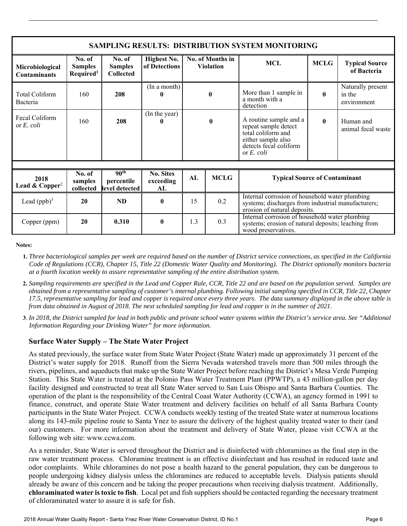| <b>SAMPLING RESULTS: DISTRIBUTION SYSTEM MONITORING</b> |                                                   |                                                  |                                     |                                      |              |                                                                                                                                       |              |                                            |  |  |  |  |
|---------------------------------------------------------|---------------------------------------------------|--------------------------------------------------|-------------------------------------|--------------------------------------|--------------|---------------------------------------------------------------------------------------------------------------------------------------|--------------|--------------------------------------------|--|--|--|--|
| Microbiological<br><b>Contaminants</b>                  | No. of<br><b>Samples</b><br>Required <sup>1</sup> | No. of<br><b>Samples</b><br><b>Collected</b>     | Highest No.<br>of Detections        | No. of Months in<br><b>Violation</b> |              | <b>MCL</b>                                                                                                                            |              | <b>Typical Source</b><br>of Bacteria       |  |  |  |  |
| Total Coliform<br>Bacteria                              | 160                                               | 208                                              | (In a month)                        | $\mathbf{0}$                         |              | More than 1 sample in<br>a month with a<br>detection                                                                                  | $\mathbf{0}$ | Naturally present<br>in the<br>environment |  |  |  |  |
| Fecal Coliform<br>or $E$ , coli                         | 160                                               | 208                                              | (In the year)                       |                                      | $\mathbf{0}$ | A routine sample and a<br>repeat sample detect<br>total coliform and<br>either sample also<br>detects fecal coliform<br>or $E$ , coli | 0            | Human and<br>animal fecal waste            |  |  |  |  |
| 2018<br>Lead & Copper <sup>2</sup>                      | No. of<br>samples<br>collected                    | 90 <sup>th</sup><br>percentile<br>level detected | <b>No. Sites</b><br>exceeding<br>AL | AL                                   | <b>MCLG</b>  | <b>Typical Source of Contaminant</b>                                                                                                  |              |                                            |  |  |  |  |
| Lead $(ppb)^3$                                          | 20                                                | <b>ND</b>                                        | $\mathbf{0}$                        | 15                                   | 0.2          | Internal corrosion of household water plumbing<br>systems; discharges from industrial manufacturers;<br>erosion of natural deposits.  |              |                                            |  |  |  |  |
| Copper (ppm)                                            | 20                                                | 0.310                                            | $\mathbf{0}$                        | 1.3                                  | 0.3          | Internal corrosion of household water plumbing<br>systems; erosion of natural deposits; leaching from<br>wood preservatives.          |              |                                            |  |  |  |  |

**Notes:** 

l

- **1.** *Three bacteriological samples per week are required based on the number of District service connections, as specified in the California Code of Regulations (CCR), Chapter 15, Title 22 (Domestic Water Quality and Monitoring). The District optionally monitors bacteria at a fourth location weekly to assure representative sampling of the entire distribution system.*
- **2.** *Sampling requirements are specified in the Lead and Copper Rule, CCR, Title 22 and are based on the population served. Samples are obtained from a representative sampling of customer's internal plumbing. Following initial sampling specified in CCR, Title 22, Chapter 17.5, representative sampling for lead and copper is required once every three years. The data summary displayed in the above table is from data obtained in August of 2018. The next scheduled sampling for lead and copper is in the summer of 2021*.
- **3**. *In 2018, the District sampled for lead in both public and private school water systems within the District's service area. See "Additional Information Regarding your Drinking Water" for more information.*

# **Surface Water Supply – The State Water Project**

As stated previously, the surface water from State Water Project (State Water) made up approximately 31 percent of the District's water supply for 2018. Runoff from the Sierra Nevada watershed travels more than 500 miles through the rivers, pipelines, and aqueducts that make up the State Water Project before reaching the District's Mesa Verde Pumping Station. This State Water is treated at the Polonio Pass Water Treatment Plant (PPWTP), a 43 million-gallon per day facility designed and constructed to treat all State Water served to San Luis Obispo and Santa Barbara Counties. The operation of the plant is the responsibility of the Central Coast Water Authority (CCWA), an agency formed in 1991 to finance, construct, and operate State Water treatment and delivery facilities on behalf of all Santa Barbara County participants in the State Water Project. CCWA conducts weekly testing of the treated State water at numerous locations along its 143-mile pipeline route to Santa Ynez to assure the delivery of the highest quality treated water to their (and our) customers. For more information about the treatment and delivery of State Water, please visit CCWA at the following web site: www.ccwa.com.

As a reminder, State Water is served throughout the District and is disinfected with chloramines as the final step in the raw water treatment process. Chloramine treatment is an effective disinfectant and has resulted in reduced taste and odor complaints. While chloramines do not pose a health hazard to the general population, they can be dangerous to people undergoing kidney dialysis unless the chloramines are reduced to acceptable levels. Dialysis patients should already be aware of this concern and be taking the proper precautions when receiving dialysis treatment. Additionally, **chloraminated water is toxic to fish**. Local pet and fish suppliers should be contacted regarding the necessary treatment of chloraminated water to assure it is safe for fish.